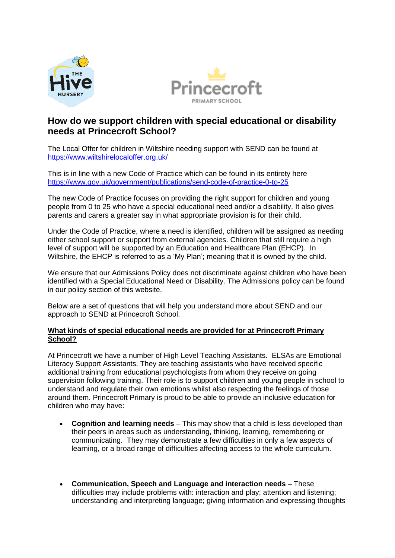



# **How do we support children with special educational or disability needs at Princecroft School?**

The Local Offer for children in Wiltshire needing support with SEND can be found at <https://www.wiltshirelocaloffer.org.uk/>

This is in line with a new Code of Practice which can be found in its entirety here <https://www.gov.uk/government/publications/send-code-of-practice-0-to-25>

The new Code of Practice focuses on providing the right support for children and young people from 0 to 25 who have a special educational need and/or a disability. It also gives parents and carers a greater say in what appropriate provision is for their child.

Under the Code of Practice, where a need is identified, children will be assigned as needing either school support or support from external agencies. Children that still require a high level of support will be supported by an Education and Healthcare Plan (EHCP). In Wiltshire, the EHCP is referred to as a 'My Plan'; meaning that it is owned by the child.

We ensure that our Admissions Policy does not discriminate against children who have been identified with a Special Educational Need or Disability. The Admissions policy can be found in our policy section of this website.

Below are a set of questions that will help you understand more about SEND and our approach to SEND at Princecroft School.

# **What kinds of special educational needs are provided for at Princecroft Primary School?**

At Princecroft we have a number of High Level Teaching Assistants. ELSAs are Emotional Literacy Support Assistants. They are teaching assistants who have received specific additional training from educational psychologists from whom they receive on going supervision following training. Their role is to support children and young people in school to understand and regulate their own emotions whilst also respecting the feelings of those around them. Princecroft Primary is proud to be able to provide an inclusive education for children who may have:

- **Cognition and learning needs** This may show that a child is less developed than their peers in areas such as understanding, thinking, learning, remembering or communicating. They may demonstrate a few difficulties in only a few aspects of learning, or a broad range of difficulties affecting access to the whole curriculum.
- **Communication, Speech and Language and interaction needs** These difficulties may include problems with: interaction and play; attention and listening; understanding and interpreting language; giving information and expressing thoughts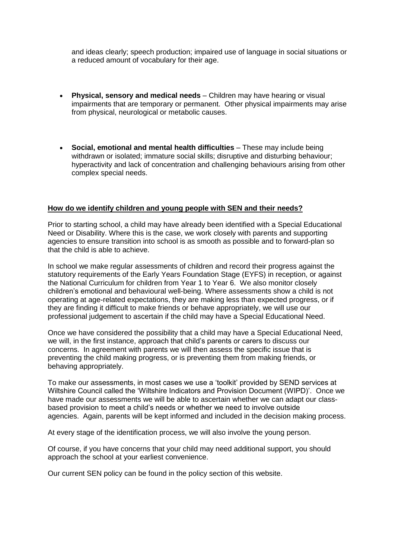and ideas clearly; speech production; impaired use of language in social situations or a reduced amount of vocabulary for their age.

- **Physical, sensory and medical needs** Children may have hearing or visual impairments that are temporary or permanent. Other physical impairments may arise from physical, neurological or metabolic causes.
- **Social, emotional and mental health difficulties** These may include being withdrawn or isolated; immature social skills; disruptive and disturbing behaviour; hyperactivity and lack of concentration and challenging behaviours arising from other complex special needs.

## **How do we identify children and young people with SEN and their needs?**

Prior to starting school, a child may have already been identified with a Special Educational Need or Disability. Where this is the case, we work closely with parents and supporting agencies to ensure transition into school is as smooth as possible and to forward-plan so that the child is able to achieve.

In school we make regular assessments of children and record their progress against the statutory requirements of the Early Years Foundation Stage (EYFS) in reception, or against the National Curriculum for children from Year 1 to Year 6. We also monitor closely children's emotional and behavioural well-being. Where assessments show a child is not operating at age-related expectations, they are making less than expected progress, or if they are finding it difficult to make friends or behave appropriately, we will use our professional judgement to ascertain if the child may have a Special Educational Need.

Once we have considered the possibility that a child may have a Special Educational Need, we will, in the first instance, approach that child's parents or carers to discuss our concerns. In agreement with parents we will then assess the specific issue that is preventing the child making progress, or is preventing them from making friends, or behaving appropriately.

To make our assessments, in most cases we use a 'toolkit' provided by SEND services at Wiltshire Council called the 'Wiltshire Indicators and Provision Document (WIPD)'. Once we have made our assessments we will be able to ascertain whether we can adapt our classbased provision to meet a child's needs or whether we need to involve outside agencies. Again, parents will be kept informed and included in the decision making process.

At every stage of the identification process, we will also involve the young person.

Of course, if you have concerns that your child may need additional support, you should approach the school at your earliest convenience.

Our current SEN policy can be found in the policy section of this website.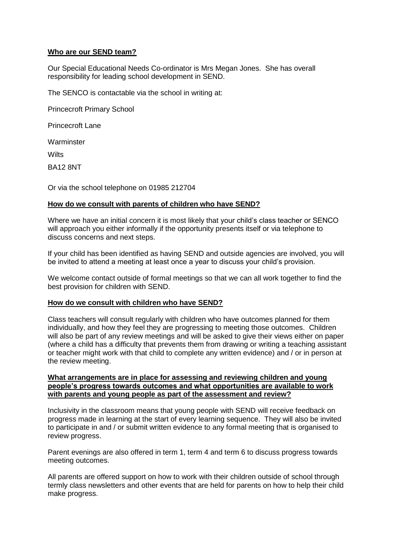# **Who are our SEND team?**

Our Special Educational Needs Co-ordinator is Mrs Megan Jones. She has overall responsibility for leading school development in SEND.

The SENCO is contactable via the school in writing at:

Princecroft Primary School

Princecroft Lane

Warminster

**Wilts** 

BA12 8NT

Or via the school telephone on 01985 212704

## **How do we consult with parents of children who have SEND?**

Where we have an initial concern it is most likely that your child's class teacher or SENCO will approach you either informally if the opportunity presents itself or via telephone to discuss concerns and next steps.

If your child has been identified as having SEND and outside agencies are involved, you will be invited to attend a meeting at least once a year to discuss your child's provision.

We welcome contact outside of formal meetings so that we can all work together to find the best provision for children with SEND.

### **How do we consult with children who have SEND?**

Class teachers will consult regularly with children who have outcomes planned for them individually, and how they feel they are progressing to meeting those outcomes. Children will also be part of any review meetings and will be asked to give their views either on paper (where a child has a difficulty that prevents them from drawing or writing a teaching assistant or teacher might work with that child to complete any written evidence) and / or in person at the review meeting.

### **What arrangements are in place for assessing and reviewing children and young people's progress towards outcomes and what opportunities are available to work with parents and young people as part of the assessment and review?**

Inclusivity in the classroom means that young people with SEND will receive feedback on progress made in learning at the start of every learning sequence. They will also be invited to participate in and / or submit written evidence to any formal meeting that is organised to review progress.

Parent evenings are also offered in term 1, term 4 and term 6 to discuss progress towards meeting outcomes.

All parents are offered support on how to work with their children outside of school through termly class newsletters and other events that are held for parents on how to help their child make progress.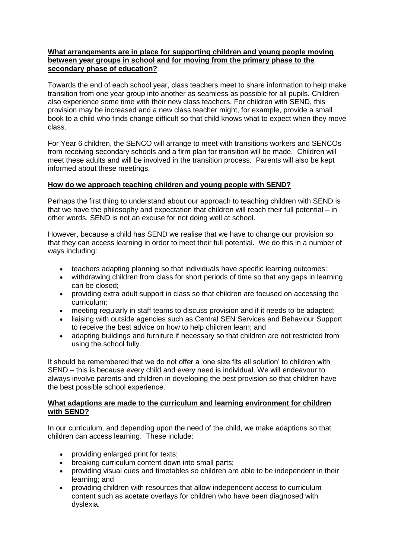# **What arrangements are in place for supporting children and young people moving between year groups in school and for moving from the primary phase to the secondary phase of education?**

Towards the end of each school year, class teachers meet to share information to help make transition from one year group into another as seamless as possible for all pupils. Children also experience some time with their new class teachers. For children with SEND, this provision may be increased and a new class teacher might, for example, provide a small book to a child who finds change difficult so that child knows what to expect when they move class.

For Year 6 children, the SENCO will arrange to meet with transitions workers and SENCOs from receiving secondary schools and a firm plan for transition will be made. Children will meet these adults and will be involved in the transition process. Parents will also be kept informed about these meetings.

# **How do we approach teaching children and young people with SEND?**

Perhaps the first thing to understand about our approach to teaching children with SEND is that we have the philosophy and expectation that children will reach their full potential – in other words, SEND is not an excuse for not doing well at school.

However, because a child has SEND we realise that we have to change our provision so that they can access learning in order to meet their full potential. We do this in a number of ways including:

- teachers adapting planning so that individuals have specific learning outcomes:
- withdrawing children from class for short periods of time so that any gaps in learning can be closed;
- providing extra adult support in class so that children are focused on accessing the curriculum;
- meeting regularly in staff teams to discuss provision and if it needs to be adapted;
- liaising with outside agencies such as Central SEN Services and Behaviour Support to receive the best advice on how to help children learn; and
- adapting buildings and furniture if necessary so that children are not restricted from using the school fully.

It should be remembered that we do not offer a 'one size fits all solution' to children with SEND – this is because every child and every need is individual. We will endeavour to always involve parents and children in developing the best provision so that children have the best possible school experience.

# **What adaptions are made to the curriculum and learning environment for children with SEND?**

In our curriculum, and depending upon the need of the child, we make adaptions so that children can access learning. These include:

- providing enlarged print for texts;
- breaking curriculum content down into small parts;
- providing visual cues and timetables so children are able to be independent in their learning; and
- providing children with resources that allow independent access to curriculum content such as acetate overlays for children who have been diagnosed with dyslexia.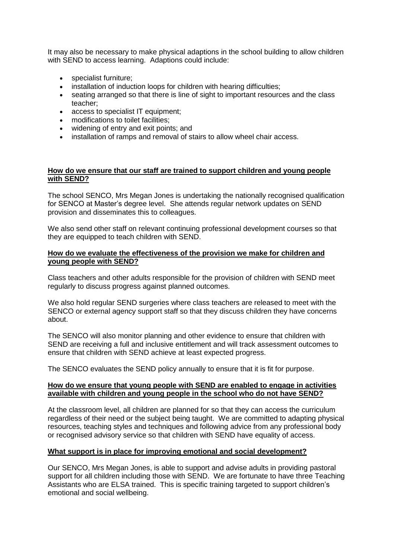It may also be necessary to make physical adaptions in the school building to allow children with SEND to access learning. Adaptions could include:

- specialist furniture;
- installation of induction loops for children with hearing difficulties;
- seating arranged so that there is line of sight to important resources and the class teacher;
- access to specialist IT equipment;
- modifications to toilet facilities:
- widening of entry and exit points; and<br>• installation of ramps and removal of st
- installation of ramps and removal of stairs to allow wheel chair access.

## **How do we ensure that our staff are trained to support children and young people with SEND?**

The school SENCO, Mrs Megan Jones is undertaking the nationally recognised qualification for SENCO at Master's degree level. She attends regular network updates on SEND provision and disseminates this to colleagues.

We also send other staff on relevant continuing professional development courses so that they are equipped to teach children with SEND.

### **How do we evaluate the effectiveness of the provision we make for children and young people with SEND?**

Class teachers and other adults responsible for the provision of children with SEND meet regularly to discuss progress against planned outcomes.

We also hold regular SEND surgeries where class teachers are released to meet with the SENCO or external agency support staff so that they discuss children they have concerns about.

The SENCO will also monitor planning and other evidence to ensure that children with SEND are receiving a full and inclusive entitlement and will track assessment outcomes to ensure that children with SEND achieve at least expected progress.

The SENCO evaluates the SEND policy annually to ensure that it is fit for purpose.

## **How do we ensure that young people with SEND are enabled to engage in activities available with children and young people in the school who do not have SEND?**

At the classroom level, all children are planned for so that they can access the curriculum regardless of their need or the subject being taught. We are committed to adapting physical resources, teaching styles and techniques and following advice from any professional body or recognised advisory service so that children with SEND have equality of access.

### **What support is in place for improving emotional and social development?**

Our SENCO, Mrs Megan Jones, is able to support and advise adults in providing pastoral support for all children including those with SEND. We are fortunate to have three Teaching Assistants who are ELSA trained. This is specific training targeted to support children's emotional and social wellbeing.